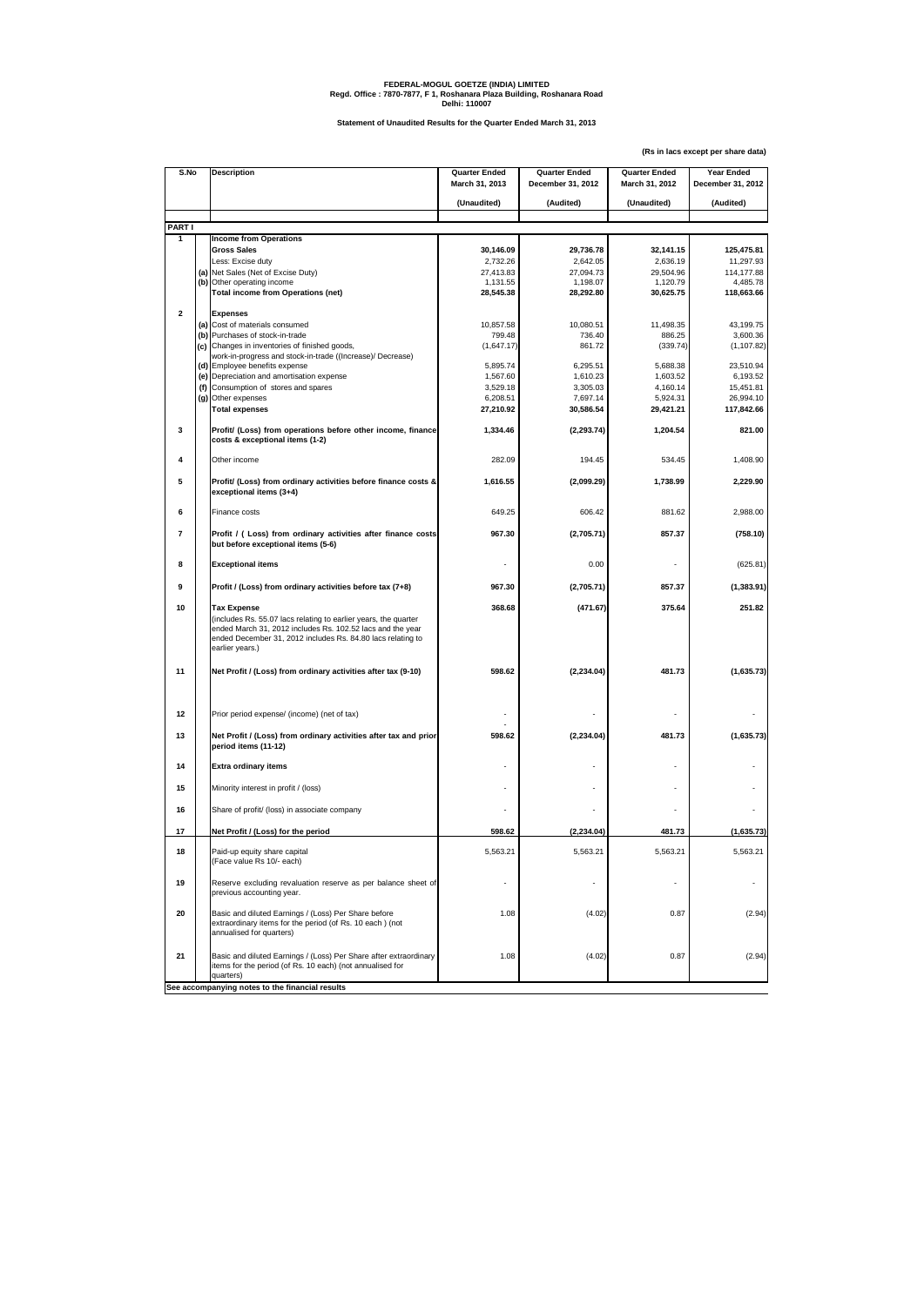**(Rs in lacs except per share data)**

| S.No                                            |  | <b>Description</b>                                                                                                                                                                                                                    | <b>Quarter Ended</b><br>March 31, 2013 | <b>Quarter Ended</b><br>December 31, 2012 | <b>Quarter Ended</b><br>March 31, 2012 | <b>Year Ended</b><br>December 31, 2012 |  |  |
|-------------------------------------------------|--|---------------------------------------------------------------------------------------------------------------------------------------------------------------------------------------------------------------------------------------|----------------------------------------|-------------------------------------------|----------------------------------------|----------------------------------------|--|--|
|                                                 |  |                                                                                                                                                                                                                                       |                                        |                                           |                                        |                                        |  |  |
|                                                 |  |                                                                                                                                                                                                                                       | (Unaudited)                            | (Audited)                                 | (Unaudited)                            | (Audited)                              |  |  |
| <b>PART I</b>                                   |  |                                                                                                                                                                                                                                       |                                        |                                           |                                        |                                        |  |  |
|                                                 |  | <b>Income from Operations</b>                                                                                                                                                                                                         |                                        |                                           |                                        |                                        |  |  |
|                                                 |  | <b>Gross Sales</b>                                                                                                                                                                                                                    | 30,146.09                              | 29,736.78                                 | 32,141.15                              | 125,475.81                             |  |  |
|                                                 |  | Less: Excise duty<br>(a) Net Sales (Net of Excise Duty)                                                                                                                                                                               | 2,732.26<br>27,413.83                  | 2,642.05<br>27,094.73                     | 2,636.19<br>29,504.96                  | 11,297.93<br>114,177.88                |  |  |
|                                                 |  | (b) Other operating income                                                                                                                                                                                                            | 1,131.55                               | 1,198.07                                  | 1,120.79                               | 4,485.78                               |  |  |
|                                                 |  | <b>Total income from Operations (net)</b>                                                                                                                                                                                             | 28,545.38                              | 28,292.80                                 | 30,625.75                              | 118,663.66                             |  |  |
| $\mathbf{2}$                                    |  | <b>Expenses</b>                                                                                                                                                                                                                       |                                        |                                           |                                        |                                        |  |  |
|                                                 |  | (a) Cost of materials consumed                                                                                                                                                                                                        | 10,857.58                              | 10,080.51                                 | 11,498.35                              | 43,199.75                              |  |  |
|                                                 |  | (b) Purchases of stock-in-trade                                                                                                                                                                                                       | 799.48                                 | 736.40                                    | 886.25                                 | 3,600.36                               |  |  |
|                                                 |  | (c) Changes in inventories of finished goods,<br>work-in-progress and stock-in-trade ((Increase)/ Decrease)                                                                                                                           | (1,647.17)                             | 861.72                                    | (339.74)                               | (1, 107.82)                            |  |  |
|                                                 |  | (d) Employee benefits expense                                                                                                                                                                                                         | 5,895.74                               | 6,295.51                                  | 5,688.38                               | 23,510.94                              |  |  |
|                                                 |  | (e) Depreciation and amortisation expense                                                                                                                                                                                             | 1,567.60                               | 1,610.23                                  | 1,603.52                               | 6,193.52                               |  |  |
|                                                 |  | (f) Consumption of stores and spares                                                                                                                                                                                                  | 3,529.18                               | 3,305.03                                  | 4,160.14                               | 15,451.81                              |  |  |
|                                                 |  | (g) Other expenses                                                                                                                                                                                                                    | 6,208.51                               | 7,697.14                                  | 5,924.31                               | 26,994.10                              |  |  |
|                                                 |  | <b>Total expenses</b>                                                                                                                                                                                                                 | 27,210.92                              | 30,586.54                                 | 29,421.21                              | 117,842.66                             |  |  |
| 3                                               |  | Profit/ (Loss) from operations before other income, finance<br>costs & exceptional items (1-2)                                                                                                                                        | 1,334.46                               | (2, 293.74)                               | 1,204.54                               | 821.00                                 |  |  |
| 4                                               |  | Other income                                                                                                                                                                                                                          | 282.09                                 | 194.45                                    | 534.45                                 | 1,408.90                               |  |  |
| $5\phantom{.0}$                                 |  | Profit/ (Loss) from ordinary activities before finance costs &<br>exceptional items (3+4)                                                                                                                                             | 1,616.55                               | (2,099.29)                                | 1,738.99                               | 2,229.90                               |  |  |
| 6                                               |  | Finance costs                                                                                                                                                                                                                         | 649.25                                 | 606.42                                    | 881.62                                 | 2,988.00                               |  |  |
| $\overline{7}$                                  |  | Profit / (Loss) from ordinary activities after finance costs<br>but before exceptional items (5-6)                                                                                                                                    | 967.30                                 | (2,705.71)                                | 857.37                                 | (758.10)                               |  |  |
| 8                                               |  | <b>Exceptional items</b>                                                                                                                                                                                                              |                                        | 0.00                                      |                                        | (625.81)                               |  |  |
| 9                                               |  | Profit / (Loss) from ordinary activities before tax (7+8)                                                                                                                                                                             | 967.30                                 | (2,705.71)                                | 857.37                                 | (1, 383.91)                            |  |  |
| 10                                              |  | <b>Tax Expense</b><br>(includes Rs. 55.07 lacs relating to earlier years, the quarter<br>ended March 31, 2012 includes Rs. 102.52 lacs and the year<br>ended December 31, 2012 includes Rs. 84.80 lacs relating to<br>earlier years.) | 368.68                                 | (471.67)                                  | 375.64                                 | 251.82                                 |  |  |
| 11                                              |  | Net Profit / (Loss) from ordinary activities after tax (9-10)                                                                                                                                                                         | 598.62                                 | (2, 234.04)                               | 481.73                                 | (1,635.73)                             |  |  |
| 12                                              |  | Prior period expense/ (income) (net of tax)                                                                                                                                                                                           |                                        |                                           |                                        |                                        |  |  |
| 13                                              |  | Net Profit / (Loss) from ordinary activities after tax and prior<br>period items (11-12)                                                                                                                                              | 598.62                                 | (2, 234.04)                               | 481.73                                 | (1,635.73)                             |  |  |
| 14                                              |  | <b>Extra ordinary items</b>                                                                                                                                                                                                           |                                        |                                           |                                        |                                        |  |  |
| 15                                              |  | Minority interest in profit / (loss)                                                                                                                                                                                                  |                                        |                                           |                                        |                                        |  |  |
| 16                                              |  | Share of profit/ (loss) in associate company                                                                                                                                                                                          |                                        |                                           |                                        |                                        |  |  |
| 17                                              |  | Net Profit / (Loss) for the period                                                                                                                                                                                                    | 598.62                                 | (2, 234.04)                               | 481.73                                 | (1,635.73)                             |  |  |
| 18                                              |  | Paid-up equity share capital<br>(Face value Rs 10/- each)                                                                                                                                                                             | 5,563.21                               | 5,563.21                                  | 5,563.21                               | 5,563.21                               |  |  |
| 19                                              |  | Reserve excluding revaluation reserve as per balance sheet of<br>previous accounting year.                                                                                                                                            |                                        |                                           |                                        |                                        |  |  |
| 20                                              |  | Basic and diluted Earnings / (Loss) Per Share before<br>extraordinary items for the period (of Rs. 10 each) (not<br>annualised for quarters)                                                                                          | 1.08                                   | (4.02)                                    | 0.87                                   | (2.94)                                 |  |  |
| 21                                              |  | Basic and diluted Earnings / (Loss) Per Share after extraordinary<br>items for the period (of Rs. 10 each) (not annualised for<br>quarters)                                                                                           | 1.08                                   | (4.02)                                    | 0.87                                   | (2.94)                                 |  |  |
| See accompanying notes to the financial results |  |                                                                                                                                                                                                                                       |                                        |                                           |                                        |                                        |  |  |

## **FEDERAL-MOGUL GOETZE (INDIA) LIMITED Regd. Office : 7870-7877, F 1, Roshanara Plaza Building, Roshanara Road Delhi: 110007**

**Statement of Unaudited Results for the Quarter Ended March 31, 2013**